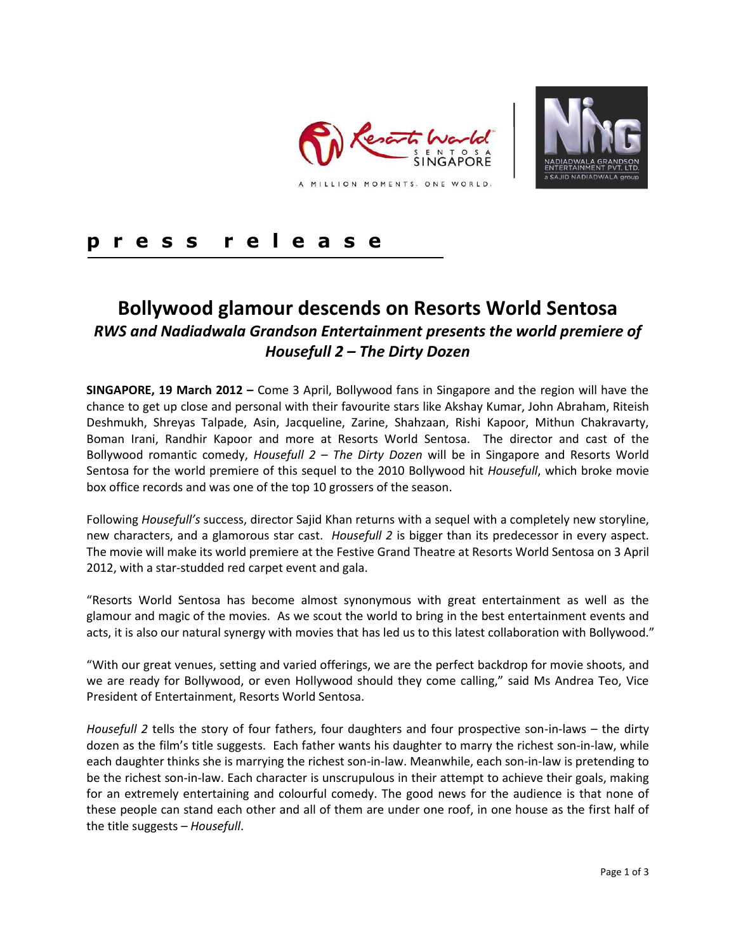



# **p r e s s r e l e a s e**

# **Bollywood glamour descends on Resorts World Sentosa**  *RWS and Nadiadwala Grandson Entertainment presents the world premiere of Housefull 2 – The Dirty Dozen*

**SINGAPORE, 19 March 2012 –** Come 3 April, Bollywood fans in Singapore and the region will have the chance to get up close and personal with their favourite stars like Akshay Kumar, John Abraham, Riteish Deshmukh, Shreyas Talpade, Asin, Jacqueline, Zarine, Shahzaan, Rishi Kapoor, Mithun Chakravarty, Boman Irani, Randhir Kapoor and more at Resorts World Sentosa. The director and cast of the Bollywood romantic comedy, *Housefull 2 – The Dirty Dozen* will be in Singapore and Resorts World Sentosa for the world premiere of this sequel to the 2010 Bollywood hit *Housefull*, which broke movie box office records and was one of the top 10 grossers of the season.

Following *Housefull's* success, director Sajid Khan returns with a sequel with a completely new storyline, new characters, and a glamorous star cast. *Housefull 2* is bigger than its predecessor in every aspect. The movie will make its world premiere at the Festive Grand Theatre at Resorts World Sentosa on 3 April 2012, with a star-studded red carpet event and gala.

"Resorts World Sentosa has become almost synonymous with great entertainment as well as the glamour and magic of the movies. As we scout the world to bring in the best entertainment events and acts, it is also our natural synergy with movies that has led us to this latest collaboration with Bollywood."

"With our great venues, setting and varied offerings, we are the perfect backdrop for movie shoots, and we are ready for Bollywood, or even Hollywood should they come calling," said Ms Andrea Teo, Vice President of Entertainment, Resorts World Sentosa.

*Housefull 2* tells the story of four fathers, four daughters and four prospective son-in-laws – the dirty dozen as the film's title suggests. Each father wants his daughter to marry the richest son-in-law, while each daughter thinks she is marrying the richest son-in-law. Meanwhile, each son-in-law is pretending to be the richest son-in-law. Each character is unscrupulous in their attempt to achieve their goals, making for an extremely entertaining and colourful comedy. The good news for the audience is that none of these people can stand each other and all of them are under one roof, in one house as the first half of the title suggests – *Housefull*.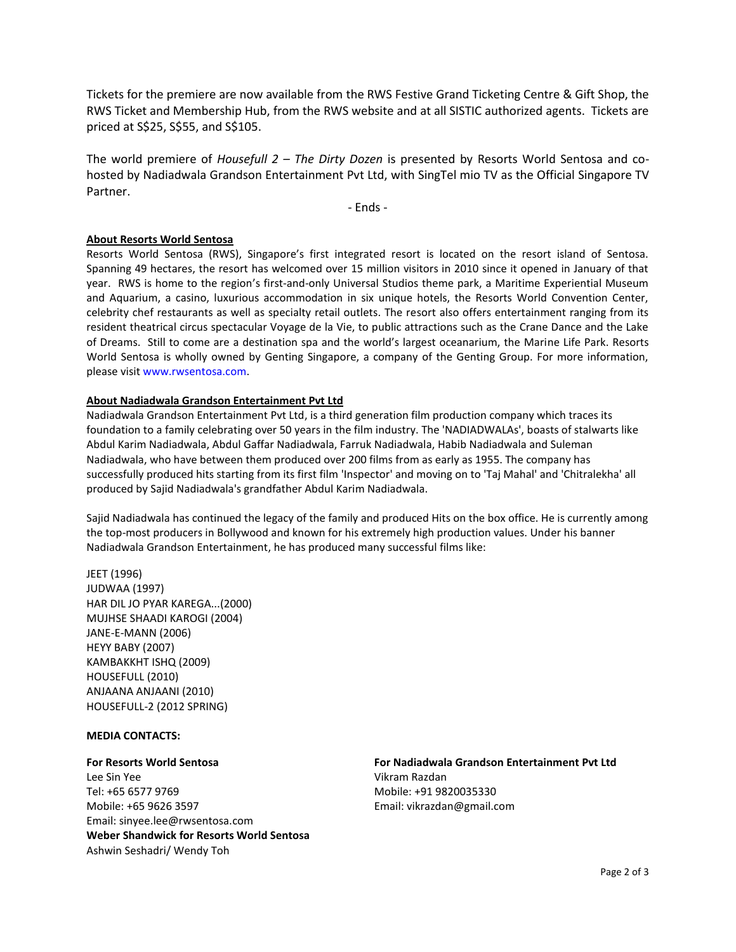Tickets for the premiere are now available from the RWS Festive Grand Ticketing Centre & Gift Shop, the RWS Ticket and Membership Hub, from the RWS website and at all SISTIC authorized agents. Tickets are priced at S\$25, S\$55, and S\$105.

The world premiere of *Housefull 2 – The Dirty Dozen* is presented by Resorts World Sentosa and cohosted by Nadiadwala Grandson Entertainment Pvt Ltd, with SingTel mio TV as the Official Singapore TV Partner.

- Ends -

#### **About Resorts World Sentosa**

Resorts World Sentosa (RWS), Singapore's first integrated resort is located on the resort island of Sentosa. Spanning 49 hectares, the resort has welcomed over 15 million visitors in 2010 since it opened in January of that year. RWS is home to the region's first-and-only Universal Studios theme park, a Maritime Experiential Museum and Aquarium, a casino, luxurious accommodation in six unique hotels, the Resorts World Convention Center, celebrity chef restaurants as well as specialty retail outlets. The resort also offers entertainment ranging from its resident theatrical circus spectacular Voyage de la Vie, to public attractions such as the Crane Dance and the Lake of Dreams. Still to come are a destination spa and the world's largest oceanarium, the Marine Life Park. Resorts World Sentosa is wholly owned by Genting Singapore, a company of the Genting Group. For more information, please visit [www.rwsentosa.com.](http://www.rwsentosa.com/)

### **About Nadiadwala Grandson Entertainment Pvt Ltd**

Nadiadwala Grandson Entertainment Pvt Ltd, is a third generation film production company which traces its foundation to a family celebrating over 50 years in the film industry. The 'NADIADWALAs', boasts of stalwarts like Abdul Karim Nadiadwala, Abdul Gaffar Nadiadwala, Farruk Nadiadwala, Habib Nadiadwala and Suleman Nadiadwala, who have between them produced over 200 films from as early as 1955. The company has successfully produced hits starting from its first film 'Inspector' and moving on to 'Taj Mahal' and 'Chitralekha' all produced by Sajid Nadiadwala's grandfather Abdul Karim Nadiadwala.

Sajid Nadiadwala has continued the legacy of the family and produced Hits on the box office. He is currently among the top-most producers in Bollywood and known for his extremely high production values. Under his banner Nadiadwala Grandson Entertainment, he has produced many successful films like:

JEET (1996) JUDWAA (1997) HAR DIL JO PYAR KAREGA...(2000) MUJHSE SHAADI KAROGI (2004) JANE-E-MANN (2006) HEYY BABY (2007) KAMBAKKHT ISHQ (2009) HOUSEFULL (2010) ANJAANA ANJAANI (2010) HOUSEFULL-2 (2012 SPRING)

#### **MEDIA CONTACTS:**

#### **For Resorts World Sentosa**

Lee Sin Yee Tel: +65 6577 9769 Mobile: +65 9626 3597 Email: [sinyee.lee@rwsentosa.com](mailto:sinyee.lee@rwsentosa.com) **Weber Shandwick for Resorts World Sentosa** Ashwin Seshadri/ Wendy Toh

**For Nadiadwala Grandson Entertainment Pvt Ltd** Vikram Razdan Mobile: +91 9820035330 Email: vikrazdan@gmail.com